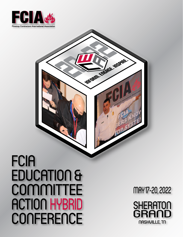